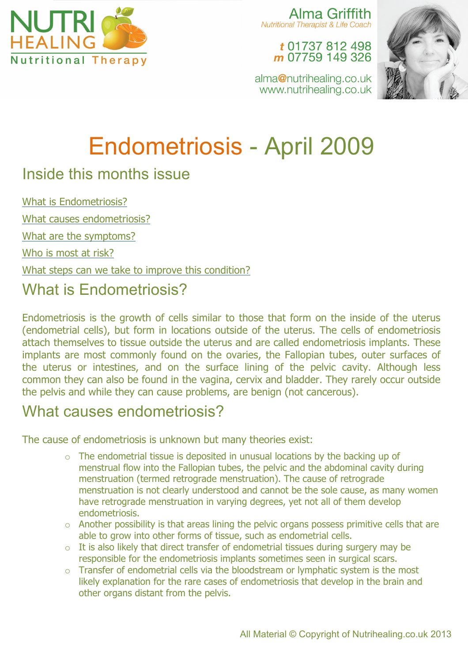

Alma Griffith **Nutritional Therapist & Life Coach** 

t 01737 812 498 m 07759 149 326



alma@nutrihealing.co.uk www.nutrihealing.co.uk

# Endometriosis - April 2009

## Inside this months issue

What is Endometriosis?

What causes endometriosis?

What are the symptoms?

Who is most at risk?

What steps can we take to improve this condition?

# What is Endometriosis?

Endometriosis is the growth of cells similar to those that form on the inside of the uterus (endometrial cells), but form in locations outside of the uterus. The cells of endometriosis attach themselves to tissue outside the uterus and are called endometriosis implants. These implants are most commonly found on the ovaries, the Fallopian tubes, outer surfaces of the uterus or intestines, and on the surface lining of the pelvic cavity. Although less common they can also be found in the vagina, cervix and bladder. They rarely occur outside the pelvis and while they can cause problems, are benign (not cancerous).

# What causes endometriosis?

The cause of endometriosis is unknown but many theories exist:

- o The endometrial tissue is deposited in unusual locations by the backing up of menstrual flow into the Fallopian tubes, the pelvic and the abdominal cavity during menstruation (termed retrograde menstruation). The cause of retrograde menstruation is not clearly understood and cannot be the sole cause, as many women have retrograde menstruation in varying degrees, yet not all of them develop endometriosis.
- $\circ$  Another possibility is that areas lining the pelvic organs possess primitive cells that are able to grow into other forms of tissue, such as endometrial cells.
- $\circ$  It is also likely that direct transfer of endometrial tissues during surgery may be responsible for the endometriosis implants sometimes seen in surgical scars.
- o Transfer of endometrial cells via the bloodstream or lymphatic system is the most likely explanation for the rare cases of endometriosis that develop in the brain and other organs distant from the pelvis.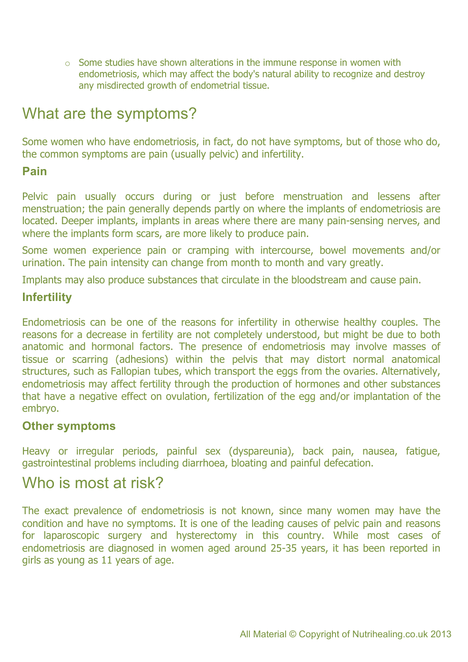o Some studies have shown alterations in the immune response in women with endometriosis, which may affect the body's natural ability to recognize and destroy any misdirected growth of endometrial tissue.

# What are the symptoms?

Some women who have endometriosis, in fact, do not have symptoms, but of those who do, the common symptoms are pain (usually pelvic) and infertility.

#### **Pain**

Pelvic pain usually occurs during or just before menstruation and lessens after menstruation; the pain generally depends partly on where the implants of endometriosis are located. Deeper implants, implants in areas where there are many pain-sensing nerves, and where the implants form scars, are more likely to produce pain.

Some women experience pain or cramping with intercourse, bowel movements and/or urination. The pain intensity can change from month to month and vary greatly.

Implants may also produce substances that circulate in the bloodstream and cause pain.

#### **Infertility**

Endometriosis can be one of the reasons for infertility in otherwise healthy couples. The reasons for a decrease in fertility are not completely understood, but might be due to both anatomic and hormonal factors. The presence of endometriosis may involve masses of tissue or scarring (adhesions) within the pelvis that may distort normal anatomical structures, such as Fallopian tubes, which transport the eggs from the ovaries. Alternatively, endometriosis may affect fertility through the production of hormones and other substances that have a negative effect on ovulation, fertilization of the egg and/or implantation of the embryo.

#### **Other symptoms**

Heavy or irregular periods, painful sex (dyspareunia), back pain, nausea, fatigue, gastrointestinal problems including diarrhoea, bloating and painful defecation.

### Who is most at risk?

The exact prevalence of endometriosis is not known, since many women may have the condition and have no symptoms. It is one of the leading causes of pelvic pain and reasons for laparoscopic surgery and hysterectomy in this country. While most cases of endometriosis are diagnosed in women aged around 25-35 years, it has been reported in girls as young as 11 years of age.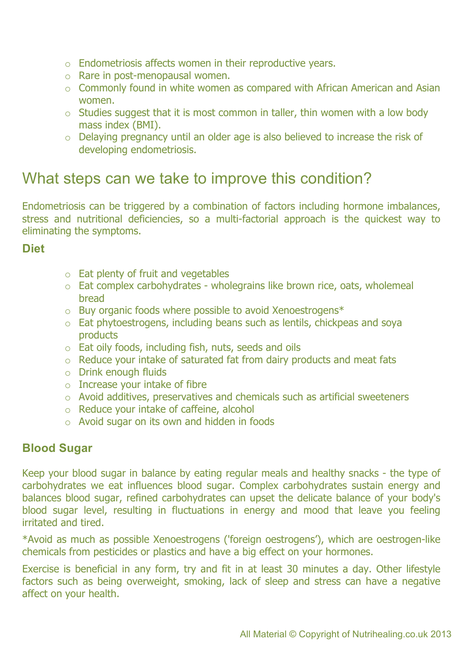- o Endometriosis affects women in their reproductive years.
- o Rare in post-menopausal women.
- $\circ$  Commonly found in white women as compared with African American and Asian women.
- $\circ$  Studies suggest that it is most common in taller, thin women with a low body mass index (BMI).
- o Delaying pregnancy until an older age is also believed to increase the risk of developing endometriosis.

### What steps can we take to improve this condition?

Endometriosis can be triggered by a combination of factors including hormone imbalances, stress and nutritional deficiencies, so a multi-factorial approach is the quickest way to eliminating the symptoms.

#### **Diet**

- $\circ$  Eat plenty of fruit and vegetables
- o Eat complex carbohydrates wholegrains like brown rice, oats, wholemeal bread
- o Buy organic foods where possible to avoid Xenoestrogens\*
- o Eat phytoestrogens, including beans such as lentils, chickpeas and soya products
- o Eat oily foods, including fish, nuts, seeds and oils
- o Reduce your intake of saturated fat from dairy products and meat fats
- o Drink enough fluids
- $\circ$  Increase your intake of fibre
- o Avoid additives, preservatives and chemicals such as artificial sweeteners
- o Reduce your intake of caffeine, alcohol
- o Avoid sugar on its own and hidden in foods

#### **Blood Sugar**

Keep your blood sugar in balance by eating regular meals and healthy snacks - the type of carbohydrates we eat influences blood sugar. Complex carbohydrates sustain energy and balances blood sugar, refined carbohydrates can upset the delicate balance of your body's blood sugar level, resulting in fluctuations in energy and mood that leave you feeling irritated and tired.

\*Avoid as much as possible Xenoestrogens ('foreign oestrogens'), which are oestrogen-like chemicals from pesticides or plastics and have a big effect on your hormones.

Exercise is beneficial in any form, try and fit in at least 30 minutes a day. Other lifestyle factors such as being overweight, smoking, lack of sleep and stress can have a negative affect on your health.